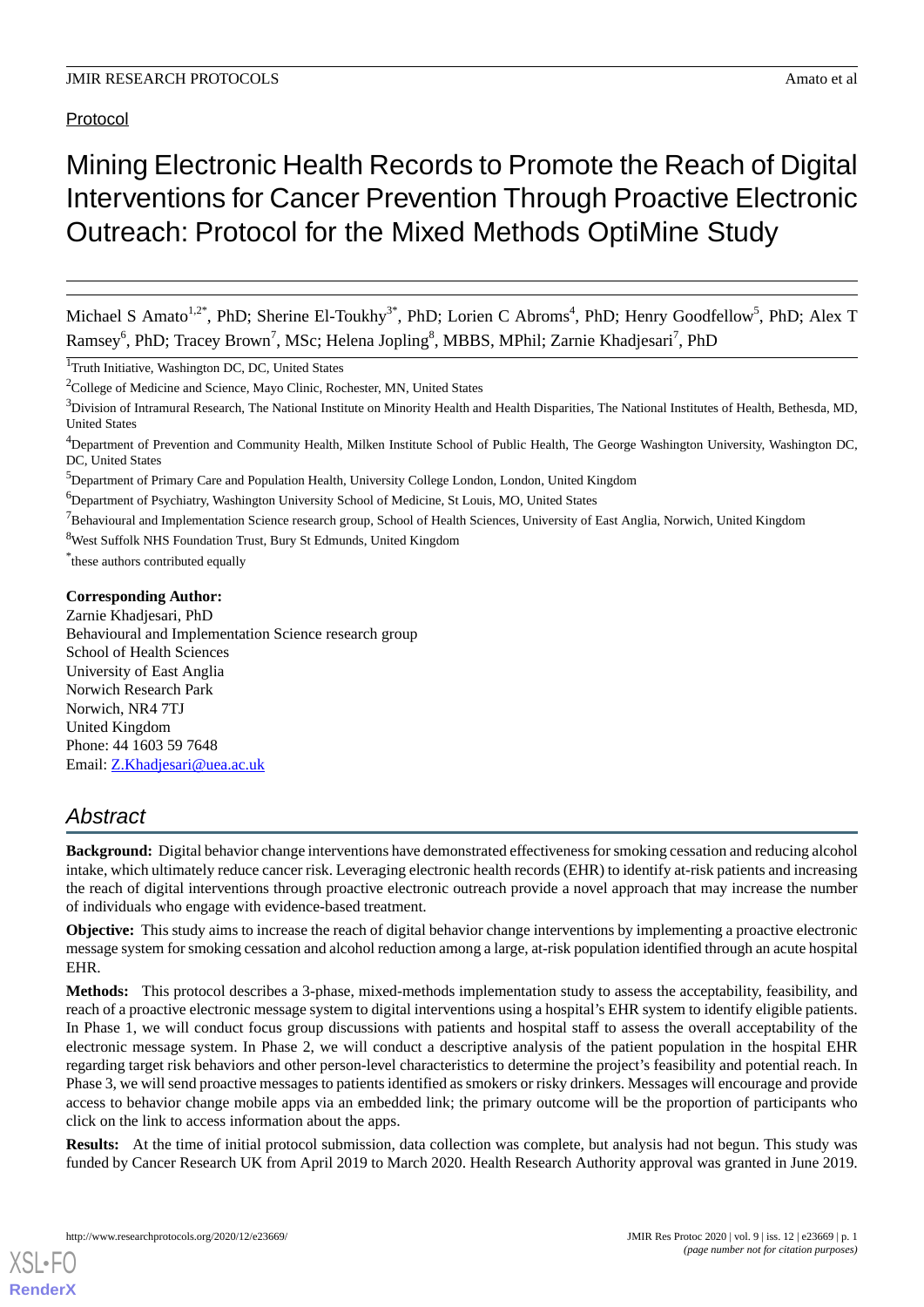# Protocol

# Mining Electronic Health Records to Promote the Reach of Digital Interventions for Cancer Prevention Through Proactive Electronic Outreach: Protocol for the Mixed Methods OptiMine Study

Michael S Amato<sup>1,2\*</sup>, PhD; Sherine El-Toukhy<sup>3\*</sup>, PhD; Lorien C Abroms<sup>4</sup>, PhD; Henry Goodfellow<sup>5</sup>, PhD; Alex T Ramsey<sup>6</sup>, PhD; Tracey Brown<sup>7</sup>, MSc; Helena Jopling<sup>8</sup>, MBBS, MPhil; Zarnie Khadjesari<sup>7</sup>, PhD

<sup>1</sup>Truth Initiative, Washington DC, DC, United States

 $2^2$ College of Medicine and Science, Mayo Clinic, Rochester, MN, United States

<sup>3</sup>Division of Intramural Research, The National Institute on Minority Health and Health Disparities, The National Institutes of Health, Bethesda, MD, United States

<sup>6</sup>Department of Psychiatry, Washington University School of Medicine, St Louis, MO, United States

 $<sup>7</sup>$ Behavioural and Implementation Science research group, School of Health Sciences, University of East Anglia, Norwich, United Kingdom</sup>

<sup>8</sup>West Suffolk NHS Foundation Trust, Bury St Edmunds, United Kingdom

\* these authors contributed equally

# **Corresponding Author:**

Zarnie Khadjesari, PhD Behavioural and Implementation Science research group School of Health Sciences University of East Anglia Norwich Research Park Norwich, NR4 7TJ United Kingdom Phone: 44 1603 59 7648 Email: [Z.Khadjesari@uea.ac.uk](mailto:Z.Khadjesari@uea.ac.uk)

# *Abstract*

**Background:** Digital behavior change interventions have demonstrated effectiveness for smoking cessation and reducing alcohol intake, which ultimately reduce cancer risk. Leveraging electronic health records (EHR) to identify at-risk patients and increasing the reach of digital interventions through proactive electronic outreach provide a novel approach that may increase the number of individuals who engage with evidence-based treatment.

**Objective:** This study aims to increase the reach of digital behavior change interventions by implementing a proactive electronic message system for smoking cessation and alcohol reduction among a large, at-risk population identified through an acute hospital EHR.

**Methods:** This protocol describes a 3-phase, mixed-methods implementation study to assess the acceptability, feasibility, and reach of a proactive electronic message system to digital interventions using a hospital's EHR system to identify eligible patients. In Phase 1, we will conduct focus group discussions with patients and hospital staff to assess the overall acceptability of the electronic message system. In Phase 2, we will conduct a descriptive analysis of the patient population in the hospital EHR regarding target risk behaviors and other person-level characteristics to determine the project's feasibility and potential reach. In Phase 3, we will send proactive messages to patients identified as smokers or risky drinkers. Messages will encourage and provide access to behavior change mobile apps via an embedded link; the primary outcome will be the proportion of participants who click on the link to access information about the apps.

**Results:** At the time of initial protocol submission, data collection was complete, but analysis had not begun. This study was funded by Cancer Research UK from April 2019 to March 2020. Health Research Authority approval was granted in June 2019.

<sup>4</sup>Department of Prevention and Community Health, Milken Institute School of Public Health, The George Washington University, Washington DC, DC, United States

<sup>5</sup>Department of Primary Care and Population Health, University College London, London, United Kingdom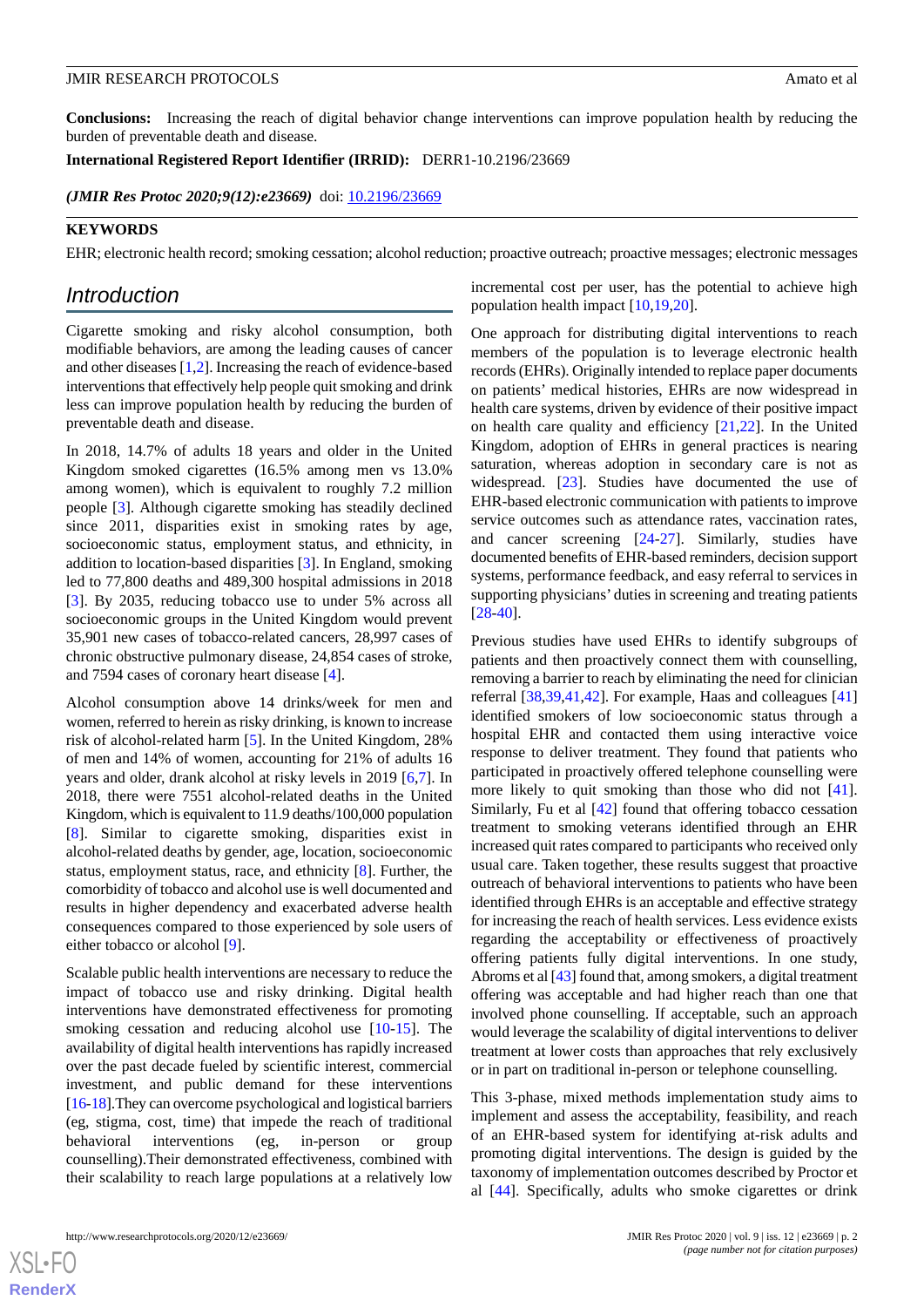**Conclusions:** Increasing the reach of digital behavior change interventions can improve population health by reducing the burden of preventable death and disease.

**International Registered Report Identifier (IRRID):** DERR1-10.2196/23669

(JMIR Res Protoc 2020;9(12):e23669) doi: [10.2196/23669](http://dx.doi.org/10.2196/23669)

#### **KEYWORDS**

EHR; electronic health record; smoking cessation; alcohol reduction; proactive outreach; proactive messages; electronic messages

# *Introduction*

Cigarette smoking and risky alcohol consumption, both modifiable behaviors, are among the leading causes of cancer and other diseases [\[1](#page-6-0),[2\]](#page-6-1). Increasing the reach of evidence-based interventions that effectively help people quit smoking and drink less can improve population health by reducing the burden of preventable death and disease.

In 2018, 14.7% of adults 18 years and older in the United Kingdom smoked cigarettes (16.5% among men vs 13.0% among women), which is equivalent to roughly 7.2 million people [[3\]](#page-6-2). Although cigarette smoking has steadily declined since 2011, disparities exist in smoking rates by age, socioeconomic status, employment status, and ethnicity, in addition to location-based disparities [\[3](#page-6-2)]. In England, smoking led to 77,800 deaths and 489,300 hospital admissions in 2018 [[3\]](#page-6-2). By 2035, reducing tobacco use to under 5% across all socioeconomic groups in the United Kingdom would prevent 35,901 new cases of tobacco-related cancers, 28,997 cases of chronic obstructive pulmonary disease, 24,854 cases of stroke, and 7594 cases of coronary heart disease [[4\]](#page-6-3).

Alcohol consumption above 14 drinks/week for men and women, referred to herein as risky drinking, is known to increase risk of alcohol-related harm [[5\]](#page-6-4). In the United Kingdom, 28% of men and 14% of women, accounting for 21% of adults 16 years and older, drank alcohol at risky levels in 2019 [\[6](#page-6-5),[7\]](#page-6-6). In 2018, there were 7551 alcohol-related deaths in the United Kingdom, which is equivalent to 11.9 deaths/100,000 population [[8\]](#page-6-7). Similar to cigarette smoking, disparities exist in alcohol-related deaths by gender, age, location, socioeconomic status, employment status, race, and ethnicity [[8](#page-6-7)]. Further, the comorbidity of tobacco and alcohol use is well documented and results in higher dependency and exacerbated adverse health consequences compared to those experienced by sole users of either tobacco or alcohol [[9](#page-6-8)].

Scalable public health interventions are necessary to reduce the impact of tobacco use and risky drinking. Digital health interventions have demonstrated effectiveness for promoting smoking cessation and reducing alcohol use [[10-](#page-6-9)[15\]](#page-6-10). The availability of digital health interventions has rapidly increased over the past decade fueled by scientific interest, commercial investment, and public demand for these interventions [[16-](#page-6-11)[18\]](#page-6-12).They can overcome psychological and logistical barriers (eg, stigma, cost, time) that impede the reach of traditional behavioral interventions (eg, in-person or group counselling).Their demonstrated effectiveness, combined with their scalability to reach large populations at a relatively low

incremental cost per user, has the potential to achieve high population health impact [[10](#page-6-9)[,19](#page-6-13),[20\]](#page-6-14).

One approach for distributing digital interventions to reach members of the population is to leverage electronic health records (EHRs). Originally intended to replace paper documents on patients' medical histories, EHRs are now widespread in health care systems, driven by evidence of their positive impact on health care quality and efficiency [\[21](#page-6-15),[22\]](#page-6-16). In the United Kingdom, adoption of EHRs in general practices is nearing saturation, whereas adoption in secondary care is not as widespread. [\[23](#page-6-17)]. Studies have documented the use of EHR-based electronic communication with patients to improve service outcomes such as attendance rates, vaccination rates, and cancer screening [\[24](#page-7-0)[-27](#page-7-1)]. Similarly, studies have documented benefits of EHR-based reminders, decision support systems, performance feedback, and easy referral to services in supporting physicians' duties in screening and treating patients [[28](#page-7-2)[-40](#page-7-3)].

Previous studies have used EHRs to identify subgroups of patients and then proactively connect them with counselling, removing a barrier to reach by eliminating the need for clinician referral [\[38](#page-7-4),[39,](#page-7-5)[41](#page-7-6),[42\]](#page-7-7). For example, Haas and colleagues [\[41](#page-7-6)] identified smokers of low socioeconomic status through a hospital EHR and contacted them using interactive voice response to deliver treatment. They found that patients who participated in proactively offered telephone counselling were more likely to quit smoking than those who did not [[41\]](#page-7-6). Similarly, Fu et al [\[42](#page-7-7)] found that offering tobacco cessation treatment to smoking veterans identified through an EHR increased quit rates compared to participants who received only usual care. Taken together, these results suggest that proactive outreach of behavioral interventions to patients who have been identified through EHRs is an acceptable and effective strategy for increasing the reach of health services. Less evidence exists regarding the acceptability or effectiveness of proactively offering patients fully digital interventions. In one study, Abroms et al [\[43](#page-7-8)] found that, among smokers, a digital treatment offering was acceptable and had higher reach than one that involved phone counselling. If acceptable, such an approach would leverage the scalability of digital interventions to deliver treatment at lower costs than approaches that rely exclusively or in part on traditional in-person or telephone counselling.

This 3-phase, mixed methods implementation study aims to implement and assess the acceptability, feasibility, and reach of an EHR-based system for identifying at-risk adults and promoting digital interventions. The design is guided by the taxonomy of implementation outcomes described by Proctor et al [[44\]](#page-7-9). Specifically, adults who smoke cigarettes or drink

 $XS$  • FO **[RenderX](http://www.renderx.com/)**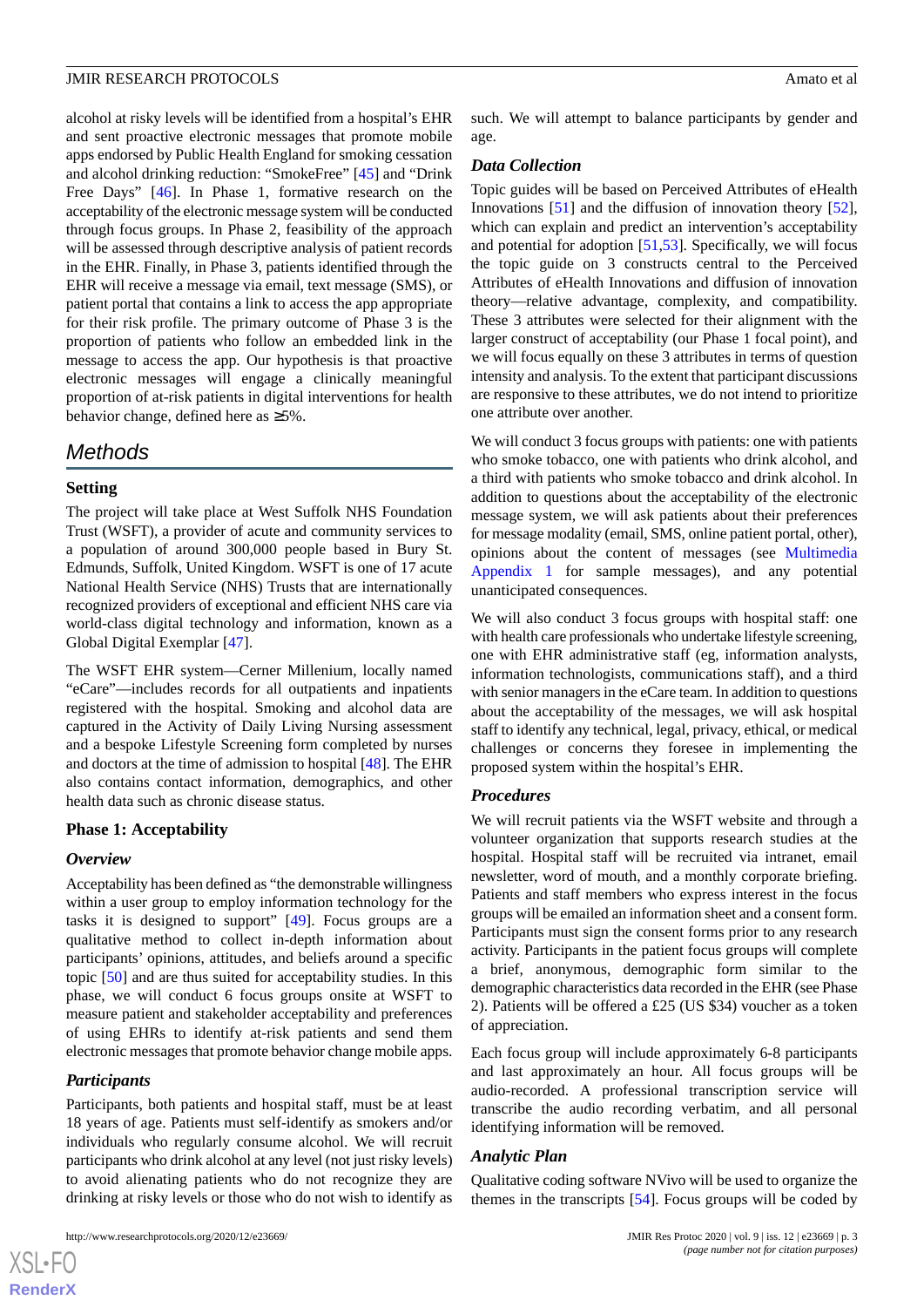alcohol at risky levels will be identified from a hospital's EHR and sent proactive electronic messages that promote mobile apps endorsed by Public Health England for smoking cessation and alcohol drinking reduction: "SmokeFree" [\[45](#page-8-0)] and "Drink Free Days" [[46\]](#page-8-1). In Phase 1, formative research on the acceptability of the electronic message system will be conducted through focus groups. In Phase 2, feasibility of the approach will be assessed through descriptive analysis of patient records in the EHR. Finally, in Phase 3, patients identified through the EHR will receive a message via email, text message (SMS), or patient portal that contains a link to access the app appropriate for their risk profile. The primary outcome of Phase 3 is the proportion of patients who follow an embedded link in the message to access the app. Our hypothesis is that proactive electronic messages will engage a clinically meaningful proportion of at-risk patients in digital interventions for health behavior change, defined here as ≥5%.

# *Methods*

#### **Setting**

The project will take place at West Suffolk NHS Foundation Trust (WSFT), a provider of acute and community services to a population of around 300,000 people based in Bury St. Edmunds, Suffolk, United Kingdom. WSFT is one of 17 acute National Health Service (NHS) Trusts that are internationally recognized providers of exceptional and efficient NHS care via world-class digital technology and information, known as a Global Digital Exemplar [\[47](#page-8-2)].

The WSFT EHR system—Cerner Millenium, locally named "eCare"—includes records for all outpatients and inpatients registered with the hospital. Smoking and alcohol data are captured in the Activity of Daily Living Nursing assessment and a bespoke Lifestyle Screening form completed by nurses and doctors at the time of admission to hospital [[48\]](#page-8-3). The EHR also contains contact information, demographics, and other health data such as chronic disease status.

#### **Phase 1: Acceptability**

#### *Overview*

Acceptability has been defined as "the demonstrable willingness within a user group to employ information technology for the tasks it is designed to support" [\[49](#page-8-4)]. Focus groups are a qualitative method to collect in-depth information about participants' opinions, attitudes, and beliefs around a specific topic [[50\]](#page-8-5) and are thus suited for acceptability studies. In this phase, we will conduct 6 focus groups onsite at WSFT to measure patient and stakeholder acceptability and preferences of using EHRs to identify at-risk patients and send them electronic messages that promote behavior change mobile apps.

#### *Participants*

 $XS$  $\cdot$ FC **[RenderX](http://www.renderx.com/)**

Participants, both patients and hospital staff, must be at least 18 years of age. Patients must self-identify as smokers and/or individuals who regularly consume alcohol. We will recruit participants who drink alcohol at any level (not just risky levels) to avoid alienating patients who do not recognize they are drinking at risky levels or those who do not wish to identify as

such. We will attempt to balance participants by gender and age.

#### *Data Collection*

Topic guides will be based on Perceived Attributes of eHealth Innovations [\[51](#page-8-6)] and the diffusion of innovation theory [[52\]](#page-8-7), which can explain and predict an intervention's acceptability and potential for adoption [[51,](#page-8-6)[53](#page-8-8)]. Specifically, we will focus the topic guide on 3 constructs central to the Perceived Attributes of eHealth Innovations and diffusion of innovation theory—relative advantage, complexity, and compatibility. These 3 attributes were selected for their alignment with the larger construct of acceptability (our Phase 1 focal point), and we will focus equally on these 3 attributes in terms of question intensity and analysis. To the extent that participant discussions are responsive to these attributes, we do not intend to prioritize one attribute over another.

We will conduct 3 focus groups with patients: one with patients who smoke tobacco, one with patients who drink alcohol, and a third with patients who smoke tobacco and drink alcohol. In addition to questions about the acceptability of the electronic message system, we will ask patients about their preferences for message modality (email, SMS, online patient portal, other), opinions about the content of messages (see [Multimedia](#page-5-0) [Appendix 1](#page-5-0) for sample messages), and any potential unanticipated consequences.

We will also conduct 3 focus groups with hospital staff: one with health care professionals who undertake lifestyle screening, one with EHR administrative staff (eg, information analysts, information technologists, communications staff), and a third with senior managers in the eCare team. In addition to questions about the acceptability of the messages, we will ask hospital staff to identify any technical, legal, privacy, ethical, or medical challenges or concerns they foresee in implementing the proposed system within the hospital's EHR.

#### *Procedures*

We will recruit patients via the WSFT website and through a volunteer organization that supports research studies at the hospital. Hospital staff will be recruited via intranet, email newsletter, word of mouth, and a monthly corporate briefing. Patients and staff members who express interest in the focus groups will be emailed an information sheet and a consent form. Participants must sign the consent forms prior to any research activity. Participants in the patient focus groups will complete a brief, anonymous, demographic form similar to the demographic characteristics data recorded in the EHR (see Phase 2). Patients will be offered a £25 (US \$34) voucher as a token of appreciation.

Each focus group will include approximately 6-8 participants and last approximately an hour. All focus groups will be audio-recorded. A professional transcription service will transcribe the audio recording verbatim, and all personal identifying information will be removed.

#### *Analytic Plan*

Qualitative coding software NVivo will be used to organize the themes in the transcripts [\[54](#page-8-9)]. Focus groups will be coded by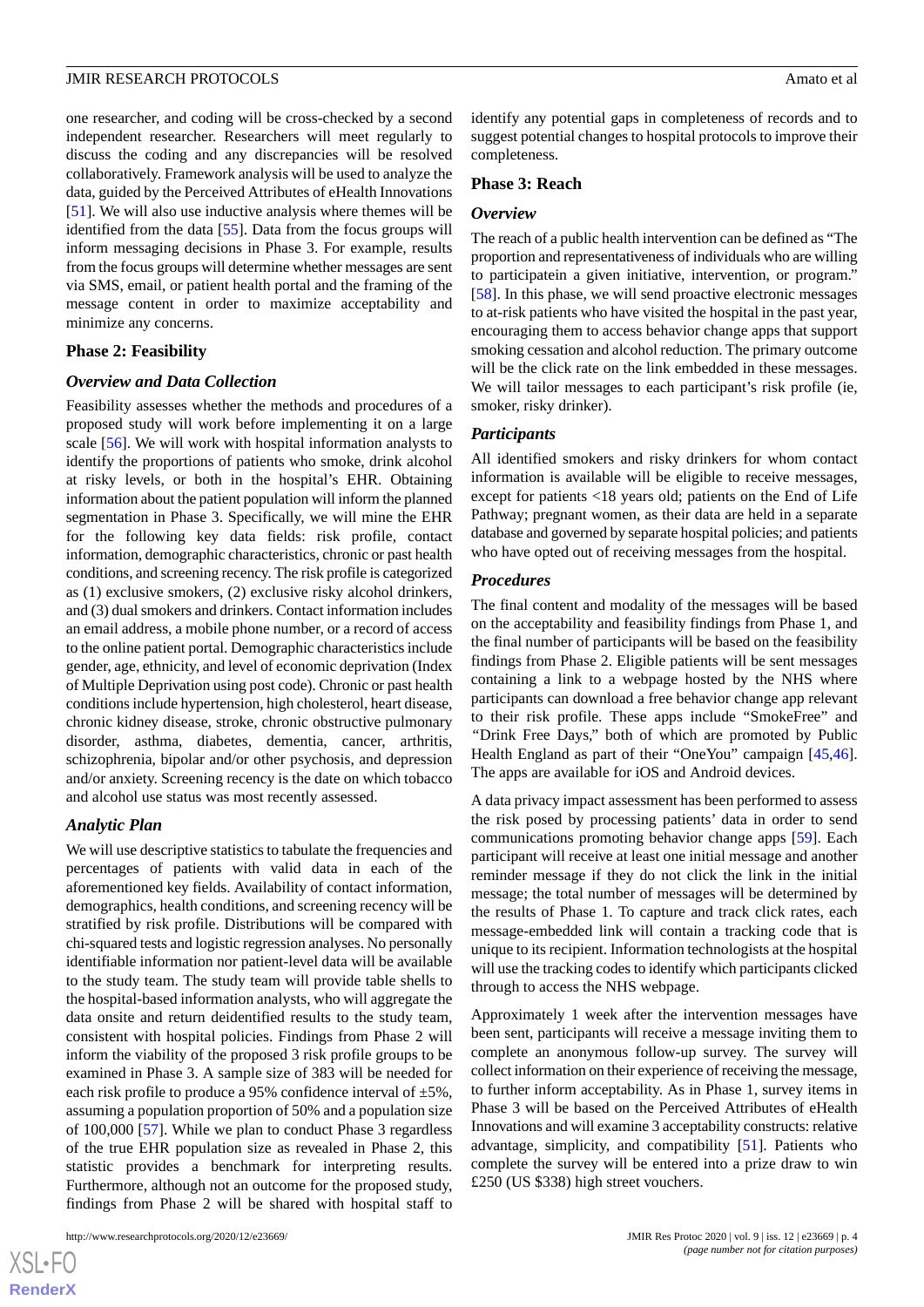one researcher, and coding will be cross-checked by a second independent researcher. Researchers will meet regularly to discuss the coding and any discrepancies will be resolved collaboratively. Framework analysis will be used to analyze the data, guided by the Perceived Attributes of eHealth Innovations [[51\]](#page-8-6). We will also use inductive analysis where themes will be identified from the data [[55\]](#page-8-10). Data from the focus groups will inform messaging decisions in Phase 3. For example, results from the focus groups will determine whether messages are sent via SMS, email, or patient health portal and the framing of the message content in order to maximize acceptability and minimize any concerns.

#### **Phase 2: Feasibility**

#### *Overview and Data Collection*

Feasibility assesses whether the methods and procedures of a proposed study will work before implementing it on a large scale [\[56](#page-8-11)]. We will work with hospital information analysts to identify the proportions of patients who smoke, drink alcohol at risky levels, or both in the hospital's EHR. Obtaining information about the patient population will inform the planned segmentation in Phase 3. Specifically, we will mine the EHR for the following key data fields: risk profile, contact information, demographic characteristics, chronic or past health conditions, and screening recency. The risk profile is categorized as (1) exclusive smokers, (2) exclusive risky alcohol drinkers, and (3) dual smokers and drinkers. Contact information includes an email address, a mobile phone number, or a record of access to the online patient portal. Demographic characteristics include gender, age, ethnicity, and level of economic deprivation (Index of Multiple Deprivation using post code). Chronic or past health conditions include hypertension, high cholesterol, heart disease, chronic kidney disease, stroke, chronic obstructive pulmonary disorder, asthma, diabetes, dementia, cancer, arthritis, schizophrenia, bipolar and/or other psychosis, and depression and/or anxiety. Screening recency is the date on which tobacco and alcohol use status was most recently assessed.

#### *Analytic Plan*

We will use descriptive statistics to tabulate the frequencies and percentages of patients with valid data in each of the aforementioned key fields. Availability of contact information, demographics, health conditions, and screening recency will be stratified by risk profile. Distributions will be compared with chi-squared tests and logistic regression analyses. No personally identifiable information nor patient-level data will be available to the study team. The study team will provide table shells to the hospital-based information analysts, who will aggregate the data onsite and return deidentified results to the study team, consistent with hospital policies. Findings from Phase 2 will inform the viability of the proposed 3 risk profile groups to be examined in Phase 3. A sample size of 383 will be needed for each risk profile to produce a 95% confidence interval of  $\pm$ 5%, assuming a population proportion of 50% and a population size of 100,000 [\[57](#page-8-12)]. While we plan to conduct Phase 3 regardless of the true EHR population size as revealed in Phase 2, this statistic provides a benchmark for interpreting results. Furthermore, although not an outcome for the proposed study, findings from Phase 2 will be shared with hospital staff to

identify any potential gaps in completeness of records and to suggest potential changes to hospital protocols to improve their completeness.

#### **Phase 3: Reach**

#### *Overview*

The reach of a public health intervention can be defined as "The proportion and representativeness of individuals who are willing to participatein a given initiative, intervention, or program." [[58\]](#page-8-13). In this phase, we will send proactive electronic messages to at-risk patients who have visited the hospital in the past year, encouraging them to access behavior change apps that support smoking cessation and alcohol reduction. The primary outcome will be the click rate on the link embedded in these messages. We will tailor messages to each participant's risk profile (ie, smoker, risky drinker).

#### *Participants*

All identified smokers and risky drinkers for whom contact information is available will be eligible to receive messages, except for patients <18 years old; patients on the End of Life Pathway; pregnant women, as their data are held in a separate database and governed by separate hospital policies; and patients who have opted out of receiving messages from the hospital.

#### *Procedures*

The final content and modality of the messages will be based on the acceptability and feasibility findings from Phase 1, and the final number of participants will be based on the feasibility findings from Phase 2. Eligible patients will be sent messages containing a link to a webpage hosted by the NHS where participants can download a free behavior change app relevant to their risk profile. These apps include "SmokeFree" and *"*Drink Free Days," both of which are promoted by Public Health England as part of their "OneYou" campaign [\[45](#page-8-0),[46\]](#page-8-1). The apps are available for iOS and Android devices.

A data privacy impact assessment has been performed to assess the risk posed by processing patients' data in order to send communications promoting behavior change apps [[59\]](#page-8-14). Each participant will receive at least one initial message and another reminder message if they do not click the link in the initial message; the total number of messages will be determined by the results of Phase 1. To capture and track click rates, each message-embedded link will contain a tracking code that is unique to its recipient. Information technologists at the hospital will use the tracking codes to identify which participants clicked through to access the NHS webpage.

Approximately 1 week after the intervention messages have been sent, participants will receive a message inviting them to complete an anonymous follow-up survey. The survey will collect information on their experience of receiving the message, to further inform acceptability. As in Phase 1, survey items in Phase 3 will be based on the Perceived Attributes of eHealth Innovations and will examine 3 acceptability constructs: relative advantage, simplicity, and compatibility [[51\]](#page-8-6). Patients who complete the survey will be entered into a prize draw to win £250 (US \$338) high street vouchers.

 $XS$ -FO **[RenderX](http://www.renderx.com/)**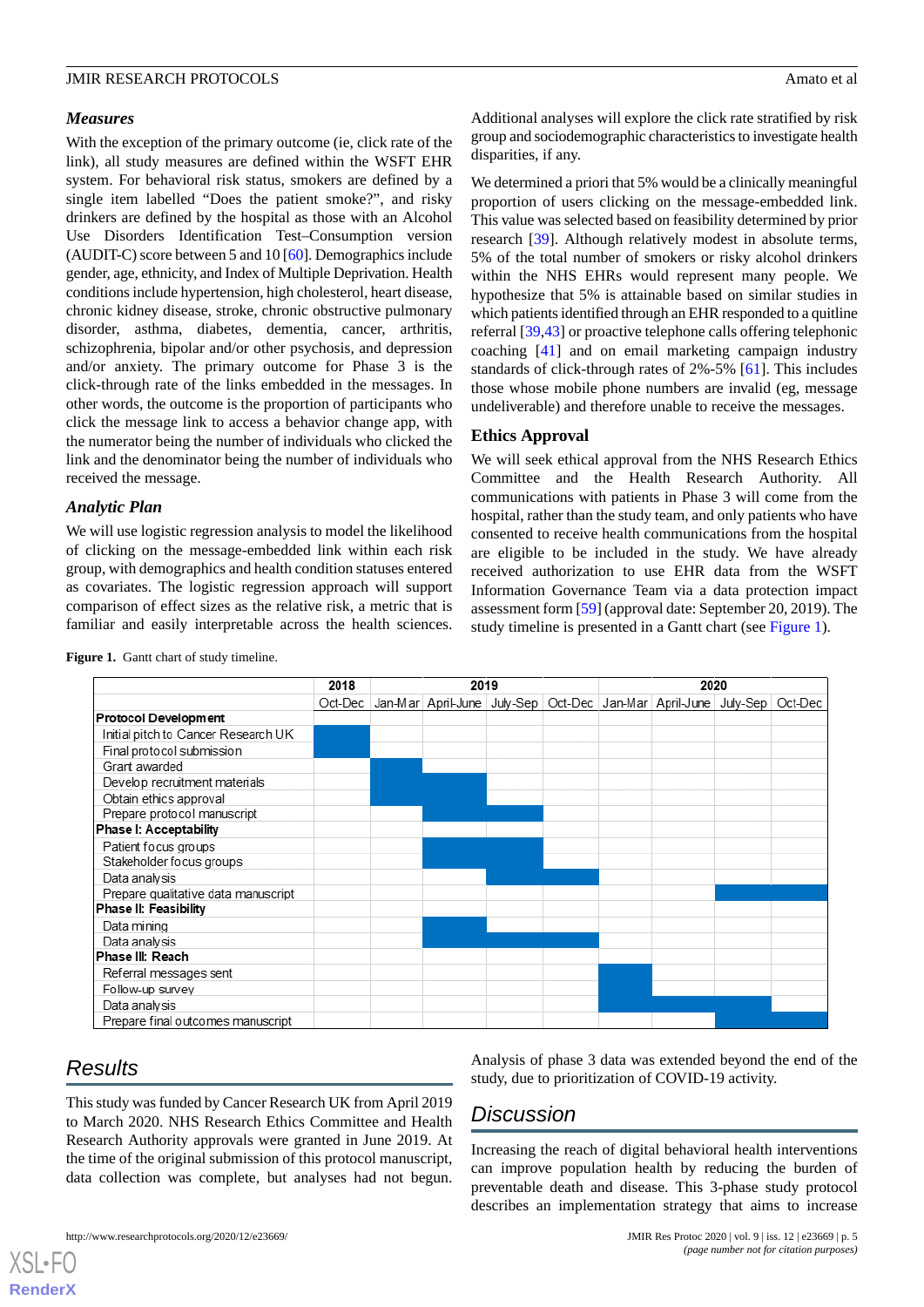#### *Measures*

With the exception of the primary outcome (ie, click rate of the link), all study measures are defined within the WSFT EHR system. For behavioral risk status, smokers are defined by a single item labelled "Does the patient smoke?", and risky drinkers are defined by the hospital as those with an Alcohol Use Disorders Identification Test–Consumption version (AUDIT-C) score between 5 and 10 [[60\]](#page-8-15). Demographics include gender, age, ethnicity, and Index of Multiple Deprivation. Health conditions include hypertension, high cholesterol, heart disease, chronic kidney disease, stroke, chronic obstructive pulmonary disorder, asthma, diabetes, dementia, cancer, arthritis, schizophrenia, bipolar and/or other psychosis, and depression and/or anxiety. The primary outcome for Phase 3 is the click-through rate of the links embedded in the messages. In other words, the outcome is the proportion of participants who click the message link to access a behavior change app, with the numerator being the number of individuals who clicked the link and the denominator being the number of individuals who received the message.

#### *Analytic Plan*

<span id="page-4-0"></span>We will use logistic regression analysis to model the likelihood of clicking on the message-embedded link within each risk group, with demographics and health condition statuses entered as covariates. The logistic regression approach will support comparison of effect sizes as the relative risk, a metric that is familiar and easily interpretable across the health sciences.



Figure 1. Gantt chart of study timeline.

# *Results*

 $XS$  $\cdot$ FC **[RenderX](http://www.renderx.com/)**

This study was funded by Cancer Research UK from April 2019 to March 2020. NHS Research Ethics Committee and Health Research Authority approvals were granted in June 2019. At the time of the original submission of this protocol manuscript, data collection was complete, but analyses had not begun.

Analysis of phase 3 data was extended beyond the end of the study, due to prioritization of COVID-19 activity.

# *Discussion*

Increasing the reach of digital behavioral health interventions can improve population health by reducing the burden of preventable death and disease. This 3-phase study protocol describes an implementation strategy that aims to increase

Additional analyses will explore the click rate stratified by risk group and sociodemographic characteristics to investigate health disparities, if any.

We determined a priori that 5% would be a clinically meaningful proportion of users clicking on the message-embedded link. This value was selected based on feasibility determined by prior research [\[39](#page-7-5)]. Although relatively modest in absolute terms, 5% of the total number of smokers or risky alcohol drinkers within the NHS EHRs would represent many people. We hypothesize that 5% is attainable based on similar studies in which patients identified through an EHR responded to a quitline referral [\[39](#page-7-5),[43\]](#page-7-8) or proactive telephone calls offering telephonic coaching [\[41](#page-7-6)] and on email marketing campaign industry standards of click-through rates of 2%-5% [\[61](#page-8-16)]. This includes those whose mobile phone numbers are invalid (eg, message undeliverable) and therefore unable to receive the messages.

#### **Ethics Approval**

We will seek ethical approval from the NHS Research Ethics Committee and the Health Research Authority. All communications with patients in Phase 3 will come from the hospital, rather than the study team, and only patients who have consented to receive health communications from the hospital are eligible to be included in the study. We have already received authorization to use EHR data from the WSFT Information Governance Team via a data protection impact assessment form [\[59](#page-8-14)] (approval date: September 20, 2019). The study timeline is presented in a Gantt chart (see [Figure 1\)](#page-4-0).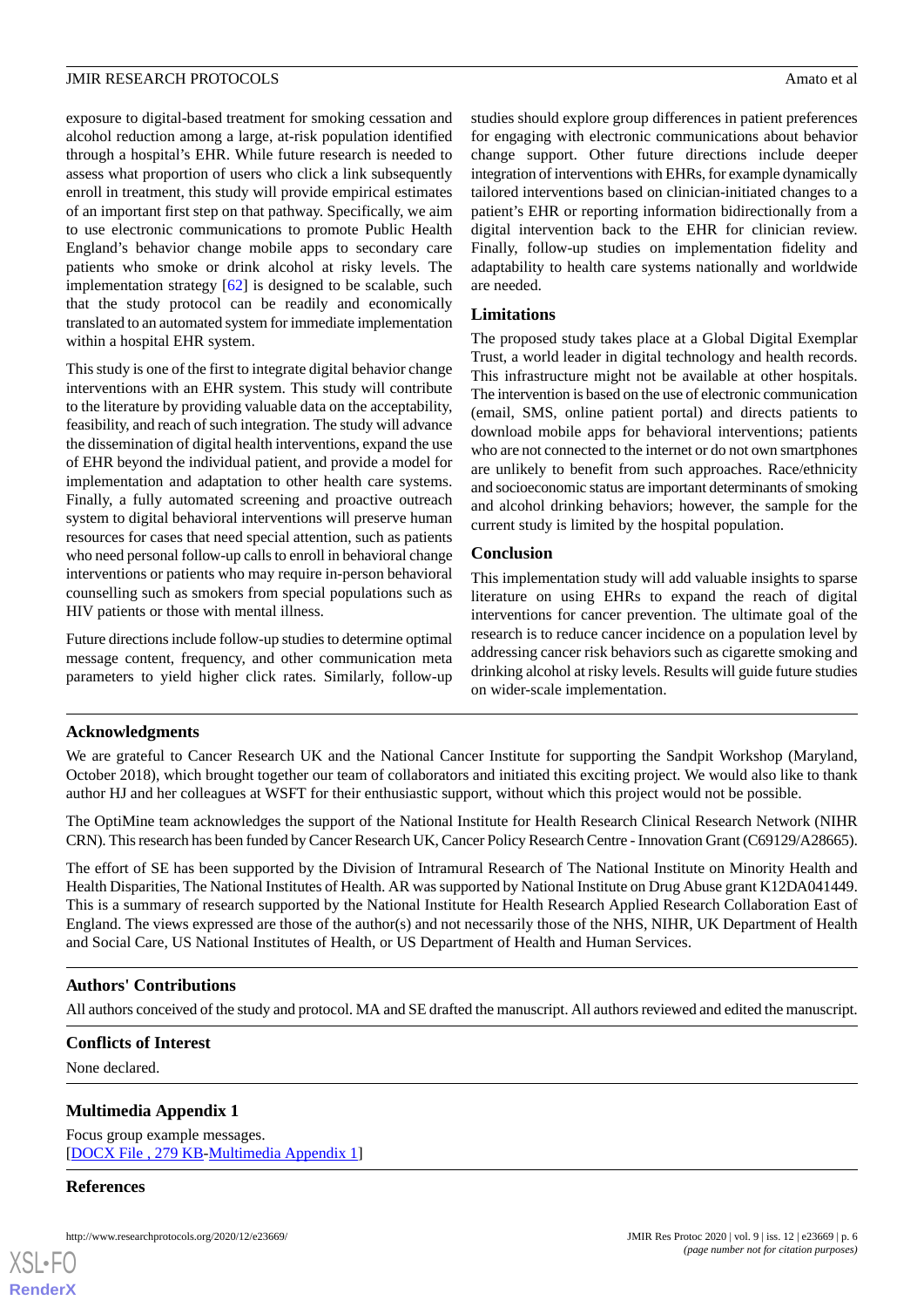exposure to digital-based treatment for smoking cessation and alcohol reduction among a large, at-risk population identified through a hospital's EHR. While future research is needed to assess what proportion of users who click a link subsequently enroll in treatment, this study will provide empirical estimates of an important first step on that pathway. Specifically, we aim to use electronic communications to promote Public Health England's behavior change mobile apps to secondary care patients who smoke or drink alcohol at risky levels. The implementation strategy [[62\]](#page-8-17) is designed to be scalable, such that the study protocol can be readily and economically translated to an automated system for immediate implementation within a hospital EHR system.

This study is one of the first to integrate digital behavior change interventions with an EHR system. This study will contribute to the literature by providing valuable data on the acceptability, feasibility, and reach of such integration. The study will advance the dissemination of digital health interventions, expand the use of EHR beyond the individual patient, and provide a model for implementation and adaptation to other health care systems. Finally, a fully automated screening and proactive outreach system to digital behavioral interventions will preserve human resources for cases that need special attention, such as patients who need personal follow-up calls to enroll in behavioral change interventions or patients who may require in-person behavioral counselling such as smokers from special populations such as HIV patients or those with mental illness.

Future directions include follow-up studies to determine optimal message content, frequency, and other communication meta parameters to yield higher click rates. Similarly, follow-up studies should explore group differences in patient preferences for engaging with electronic communications about behavior change support. Other future directions include deeper integration of interventions with EHRs, for example dynamically tailored interventions based on clinician-initiated changes to a patient's EHR or reporting information bidirectionally from a digital intervention back to the EHR for clinician review. Finally, follow-up studies on implementation fidelity and adaptability to health care systems nationally and worldwide are needed.

#### **Limitations**

The proposed study takes place at a Global Digital Exemplar Trust, a world leader in digital technology and health records. This infrastructure might not be available at other hospitals. The intervention is based on the use of electronic communication (email, SMS, online patient portal) and directs patients to download mobile apps for behavioral interventions; patients who are not connected to the internet or do not own smartphones are unlikely to benefit from such approaches. Race/ethnicity and socioeconomic status are important determinants of smoking and alcohol drinking behaviors; however, the sample for the current study is limited by the hospital population.

### **Conclusion**

This implementation study will add valuable insights to sparse literature on using EHRs to expand the reach of digital interventions for cancer prevention. The ultimate goal of the research is to reduce cancer incidence on a population level by addressing cancer risk behaviors such as cigarette smoking and drinking alcohol at risky levels. Results will guide future studies on wider-scale implementation.

#### **Acknowledgments**

We are grateful to Cancer Research UK and the National Cancer Institute for supporting the Sandpit Workshop (Maryland, October 2018), which brought together our team of collaborators and initiated this exciting project. We would also like to thank author HJ and her colleagues at WSFT for their enthusiastic support, without which this project would not be possible.

The OptiMine team acknowledges the support of the National Institute for Health Research Clinical Research Network (NIHR CRN). This research has been funded by Cancer Research UK, Cancer Policy Research Centre - Innovation Grant (C69129/A28665).

The effort of SE has been supported by the Division of Intramural Research of The National Institute on Minority Health and Health Disparities, The National Institutes of Health. AR was supported by National Institute on Drug Abuse grant K12DA041449. This is a summary of research supported by the National Institute for Health Research Applied Research Collaboration East of England. The views expressed are those of the author(s) and not necessarily those of the NHS, NIHR, UK Department of Health and Social Care, US National Institutes of Health, or US Department of Health and Human Services.

# **Authors' Contributions**

<span id="page-5-0"></span>All authors conceived of the study and protocol. MA and SE drafted the manuscript. All authors reviewed and edited the manuscript.

#### **Conflicts of Interest**

None declared.

#### **Multimedia Appendix 1**

Focus group example messages. [[DOCX File , 279 KB-Multimedia Appendix 1\]](https://jmir.org/api/download?alt_name=resprot_v9i12e23669_app1.docx&filename=e3182df054530541e284ff2b51d284fd.docx)

#### **References**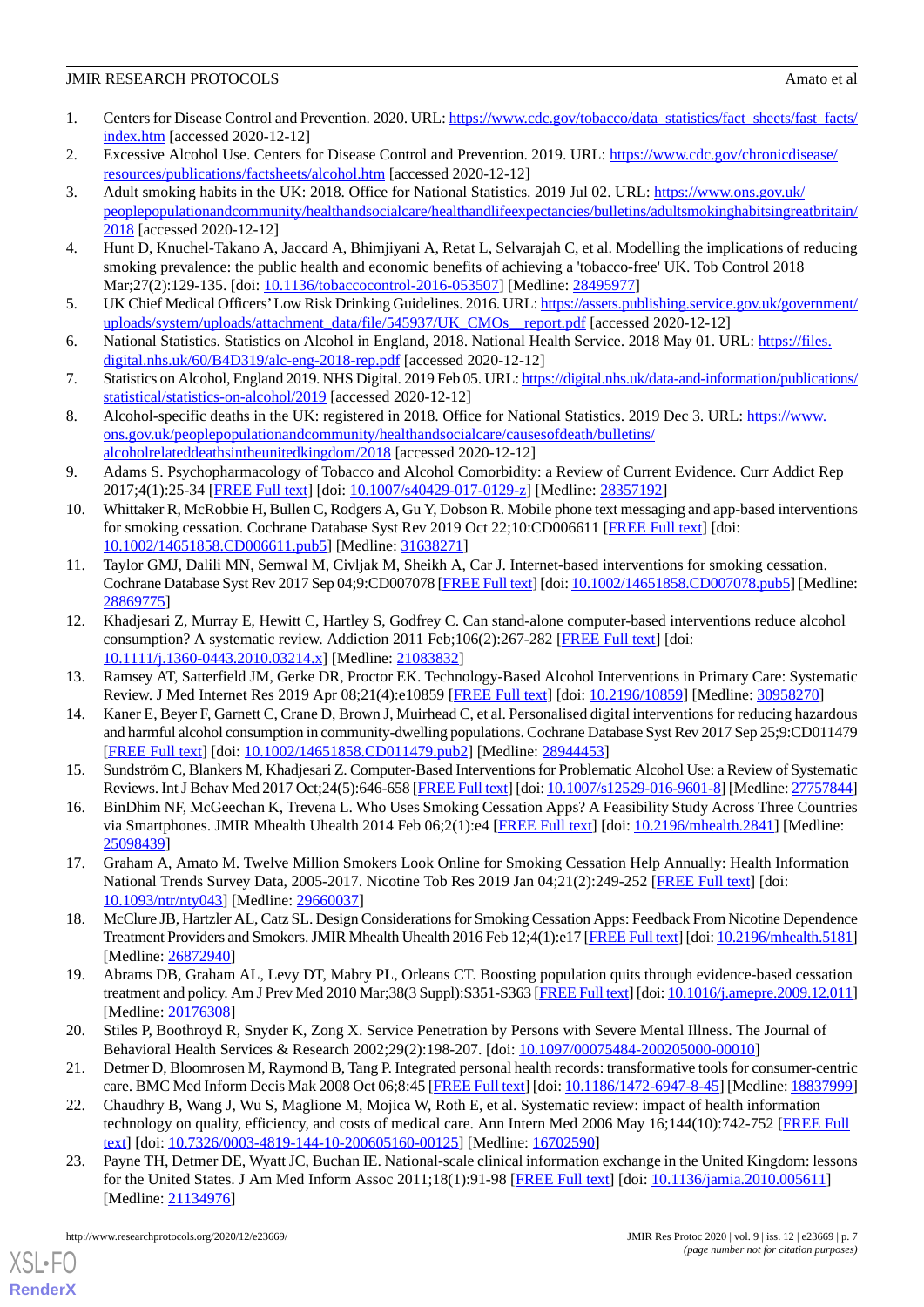- <span id="page-6-0"></span>1. Centers for Disease Control and Prevention. 2020. URL: [https://www.cdc.gov/tobacco/data\\_statistics/fact\\_sheets/fast\\_facts/](https://www.cdc.gov/tobacco/data_statistics/fact_sheets/fast_facts/index.htm) [index.htm](https://www.cdc.gov/tobacco/data_statistics/fact_sheets/fast_facts/index.htm) [accessed 2020-12-12]
- <span id="page-6-2"></span><span id="page-6-1"></span>2. Excessive Alcohol Use. Centers for Disease Control and Prevention. 2019. URL: [https://www.cdc.gov/chronicdisease/](https://www.cdc.gov/chronicdisease/resources/publications/factsheets/alcohol.htm) [resources/publications/factsheets/alcohol.htm](https://www.cdc.gov/chronicdisease/resources/publications/factsheets/alcohol.htm) [accessed 2020-12-12]
- 3. Adult smoking habits in the UK: 2018. Office for National Statistics. 2019 Jul 02. URL: [https://www.ons.gov.uk/](https://www.ons.gov.uk/peoplepopulationandcommunity/healthandsocialcare/healthandlifeexpectancies/bulletins/adultsmokinghabitsingreatbritain/2018) [peoplepopulationandcommunity/healthandsocialcare/healthandlifeexpectancies/bulletins/adultsmokinghabitsingreatbritain/](https://www.ons.gov.uk/peoplepopulationandcommunity/healthandsocialcare/healthandlifeexpectancies/bulletins/adultsmokinghabitsingreatbritain/2018) [2018](https://www.ons.gov.uk/peoplepopulationandcommunity/healthandsocialcare/healthandlifeexpectancies/bulletins/adultsmokinghabitsingreatbritain/2018) [accessed 2020-12-12]
- <span id="page-6-4"></span><span id="page-6-3"></span>4. Hunt D, Knuchel-Takano A, Jaccard A, Bhimjiyani A, Retat L, Selvarajah C, et al. Modelling the implications of reducing smoking prevalence: the public health and economic benefits of achieving a 'tobacco-free' UK. Tob Control 2018 Mar;27(2):129-135. [doi: [10.1136/tobaccocontrol-2016-053507\]](http://dx.doi.org/10.1136/tobaccocontrol-2016-053507) [Medline: [28495977](http://www.ncbi.nlm.nih.gov/entrez/query.fcgi?cmd=Retrieve&db=PubMed&list_uids=28495977&dopt=Abstract)]
- <span id="page-6-5"></span>5. UK Chief Medical Officers'Low Risk Drinking Guidelines. 2016. URL: [https://assets.publishing.service.gov.uk/government/](https://assets.publishing.service.gov.uk/government/uploads/system/uploads/attachment_data/file/545937/UK_CMOs__report.pdf) [uploads/system/uploads/attachment\\_data/file/545937/UK\\_CMOs\\_\\_report.pdf](https://assets.publishing.service.gov.uk/government/uploads/system/uploads/attachment_data/file/545937/UK_CMOs__report.pdf) [accessed 2020-12-12]
- <span id="page-6-6"></span>6. National Statistics. Statistics on Alcohol in England, 2018. National Health Service. 2018 May 01. URL: [https://files.](https://files.digital.nhs.uk/60/B4D319/alc-eng-2018-rep.pdf) [digital.nhs.uk/60/B4D319/alc-eng-2018-rep.pdf](https://files.digital.nhs.uk/60/B4D319/alc-eng-2018-rep.pdf) [accessed 2020-12-12]
- <span id="page-6-7"></span>7. Statistics on Alcohol, England 2019. NHS Digital. 2019 Feb 05. URL: [https://digital.nhs.uk/data-and-information/publications/](https://digital.nhs.uk/data-and-information/publications/statistical/statistics-on-alcohol/2019) [statistical/statistics-on-alcohol/2019](https://digital.nhs.uk/data-and-information/publications/statistical/statistics-on-alcohol/2019) [accessed 2020-12-12]
- <span id="page-6-8"></span>8. Alcohol-specific deaths in the UK: registered in 2018. Office for National Statistics. 2019 Dec 3. URL: [https://www.](https://www.ons.gov.uk/peoplepopulationandcommunity/healthandsocialcare/causesofdeath/bulletins/alcoholrelateddeathsintheunitedkingdom/2018) [ons.gov.uk/peoplepopulationandcommunity/healthandsocialcare/causesofdeath/bulletins/](https://www.ons.gov.uk/peoplepopulationandcommunity/healthandsocialcare/causesofdeath/bulletins/alcoholrelateddeathsintheunitedkingdom/2018) [alcoholrelateddeathsintheunitedkingdom/2018](https://www.ons.gov.uk/peoplepopulationandcommunity/healthandsocialcare/causesofdeath/bulletins/alcoholrelateddeathsintheunitedkingdom/2018) [accessed 2020-12-12]
- <span id="page-6-9"></span>9. Adams S. Psychopharmacology of Tobacco and Alcohol Comorbidity: a Review of Current Evidence. Curr Addict Rep 2017;4(1):25-34 [[FREE Full text](http://europepmc.org/abstract/MED/28357192)] [doi: [10.1007/s40429-017-0129-z](http://dx.doi.org/10.1007/s40429-017-0129-z)] [Medline: [28357192\]](http://www.ncbi.nlm.nih.gov/entrez/query.fcgi?cmd=Retrieve&db=PubMed&list_uids=28357192&dopt=Abstract)
- 10. Whittaker R, McRobbie H, Bullen C, Rodgers A, Gu Y, Dobson R. Mobile phone text messaging and app-based interventions for smoking cessation. Cochrane Database Syst Rev 2019 Oct 22;10:CD006611 [\[FREE Full text](http://europepmc.org/abstract/MED/31638271)] [doi: [10.1002/14651858.CD006611.pub5\]](http://dx.doi.org/10.1002/14651858.CD006611.pub5) [Medline: [31638271](http://www.ncbi.nlm.nih.gov/entrez/query.fcgi?cmd=Retrieve&db=PubMed&list_uids=31638271&dopt=Abstract)]
- 11. Taylor GMJ, Dalili MN, Semwal M, Civljak M, Sheikh A, Car J. Internet-based interventions for smoking cessation. Cochrane Database Syst Rev 2017 Sep 04;9:CD007078 [\[FREE Full text](http://europepmc.org/abstract/MED/28869775)] [doi: [10.1002/14651858.CD007078.pub5](http://dx.doi.org/10.1002/14651858.CD007078.pub5)] [Medline: [28869775](http://www.ncbi.nlm.nih.gov/entrez/query.fcgi?cmd=Retrieve&db=PubMed&list_uids=28869775&dopt=Abstract)]
- 12. Khadjesari Z, Murray E, Hewitt C, Hartley S, Godfrey C. Can stand-alone computer-based interventions reduce alcohol consumption? A systematic review. Addiction 2011 Feb;106(2):267-282 [\[FREE Full text](http://onlinelibrary.wiley.com/doi/10.1111/j.1360-0443.2010.03214.x/abstract?systemMessage=Wiley+Online+Library+will+be+disrupted+on+the+18th+October+from+10%3A00+BST+%2805%3A00+EDT%29+for+essential+maintenance+for+approximately+two+hours+as+we+make+upgrades+to+improve+our+services+to+you)] [doi: [10.1111/j.1360-0443.2010.03214.x\]](http://dx.doi.org/10.1111/j.1360-0443.2010.03214.x) [Medline: [21083832\]](http://www.ncbi.nlm.nih.gov/entrez/query.fcgi?cmd=Retrieve&db=PubMed&list_uids=21083832&dopt=Abstract)
- <span id="page-6-10"></span>13. Ramsey AT, Satterfield JM, Gerke DR, Proctor EK. Technology-Based Alcohol Interventions in Primary Care: Systematic Review. J Med Internet Res 2019 Apr 08;21(4):e10859 [\[FREE Full text\]](https://www.jmir.org/2019/4/e10859/) [doi: [10.2196/10859](http://dx.doi.org/10.2196/10859)] [Medline: [30958270\]](http://www.ncbi.nlm.nih.gov/entrez/query.fcgi?cmd=Retrieve&db=PubMed&list_uids=30958270&dopt=Abstract)
- <span id="page-6-11"></span>14. Kaner E, Beyer F, Garnett C, Crane D, Brown J, Muirhead C, et al. Personalised digital interventions for reducing hazardous and harmful alcohol consumption in community-dwelling populations. Cochrane Database Syst Rev 2017 Sep 25;9:CD011479 [[FREE Full text](http://europepmc.org/abstract/MED/28944453)] [doi: [10.1002/14651858.CD011479.pub2\]](http://dx.doi.org/10.1002/14651858.CD011479.pub2) [Medline: [28944453](http://www.ncbi.nlm.nih.gov/entrez/query.fcgi?cmd=Retrieve&db=PubMed&list_uids=28944453&dopt=Abstract)]
- 15. Sundström C, Blankers M, Khadjesari Z. Computer-Based Interventions for Problematic Alcohol Use: a Review of Systematic Reviews. Int J Behav Med 2017 Oct;24(5):646-658 [\[FREE Full text](http://europepmc.org/abstract/MED/27757844)] [doi: [10.1007/s12529-016-9601-8\]](http://dx.doi.org/10.1007/s12529-016-9601-8) [Medline: [27757844](http://www.ncbi.nlm.nih.gov/entrez/query.fcgi?cmd=Retrieve&db=PubMed&list_uids=27757844&dopt=Abstract)]
- <span id="page-6-12"></span>16. BinDhim NF, McGeechan K, Trevena L. Who Uses Smoking Cessation Apps? A Feasibility Study Across Three Countries via Smartphones. JMIR Mhealth Uhealth 2014 Feb 06;2(1):e4 [\[FREE Full text\]](https://mhealth.jmir.org/2014/1/e4/) [doi: [10.2196/mhealth.2841\]](http://dx.doi.org/10.2196/mhealth.2841) [Medline: [25098439](http://www.ncbi.nlm.nih.gov/entrez/query.fcgi?cmd=Retrieve&db=PubMed&list_uids=25098439&dopt=Abstract)]
- <span id="page-6-13"></span>17. Graham A, Amato M. Twelve Million Smokers Look Online for Smoking Cessation Help Annually: Health Information National Trends Survey Data, 2005-2017. Nicotine Tob Res 2019 Jan 04;21(2):249-252 [\[FREE Full text\]](http://europepmc.org/abstract/MED/29660037) [doi: [10.1093/ntr/nty043\]](http://dx.doi.org/10.1093/ntr/nty043) [Medline: [29660037](http://www.ncbi.nlm.nih.gov/entrez/query.fcgi?cmd=Retrieve&db=PubMed&list_uids=29660037&dopt=Abstract)]
- <span id="page-6-14"></span>18. McClure JB, Hartzler AL, Catz SL. Design Considerations for Smoking Cessation Apps: Feedback From Nicotine Dependence Treatment Providers and Smokers. JMIR Mhealth Uhealth 2016 Feb 12;4(1):e17 [[FREE Full text](https://mhealth.jmir.org/2016/1/e17/)] [doi: [10.2196/mhealth.5181](http://dx.doi.org/10.2196/mhealth.5181)] [Medline: [26872940](http://www.ncbi.nlm.nih.gov/entrez/query.fcgi?cmd=Retrieve&db=PubMed&list_uids=26872940&dopt=Abstract)]
- <span id="page-6-16"></span><span id="page-6-15"></span>19. Abrams DB, Graham AL, Levy DT, Mabry PL, Orleans CT. Boosting population quits through evidence-based cessation treatment and policy. Am J Prev Med 2010 Mar;38(3 Suppl):S351-S363 [\[FREE Full text](http://europepmc.org/abstract/MED/20176308)] [doi: [10.1016/j.amepre.2009.12.011\]](http://dx.doi.org/10.1016/j.amepre.2009.12.011) [Medline: [20176308](http://www.ncbi.nlm.nih.gov/entrez/query.fcgi?cmd=Retrieve&db=PubMed&list_uids=20176308&dopt=Abstract)]
- <span id="page-6-17"></span>20. Stiles P, Boothroyd R, Snyder K, Zong X. Service Penetration by Persons with Severe Mental Illness. The Journal of Behavioral Health Services & Research 2002;29(2):198-207. [doi: [10.1097/00075484-200205000-00010](http://dx.doi.org/10.1097/00075484-200205000-00010)]
- 21. Detmer D, Bloomrosen M, Raymond B, Tang P. Integrated personal health records: transformative tools for consumer-centric care. BMC Med Inform Decis Mak 2008 Oct 06;8:45 [\[FREE Full text](https://bmcmedinformdecismak.biomedcentral.com/articles/10.1186/1472-6947-8-45)] [doi: [10.1186/1472-6947-8-45\]](http://dx.doi.org/10.1186/1472-6947-8-45) [Medline: [18837999\]](http://www.ncbi.nlm.nih.gov/entrez/query.fcgi?cmd=Retrieve&db=PubMed&list_uids=18837999&dopt=Abstract)
- 22. Chaudhry B, Wang J, Wu S, Maglione M, Mojica W, Roth E, et al. Systematic review: impact of health information technology on quality, efficiency, and costs of medical care. Ann Intern Med 2006 May 16;144(10):742-752 [\[FREE Full](https://www.acpjournals.org/doi/10.7326/0003-4819-144-10-200605160-00125?url_ver=Z39.88-2003&rfr_id=ori:rid:crossref.org&rfr_dat=cr_pub%3dpubmed) [text](https://www.acpjournals.org/doi/10.7326/0003-4819-144-10-200605160-00125?url_ver=Z39.88-2003&rfr_id=ori:rid:crossref.org&rfr_dat=cr_pub%3dpubmed)] [doi: [10.7326/0003-4819-144-10-200605160-00125\]](http://dx.doi.org/10.7326/0003-4819-144-10-200605160-00125) [Medline: [16702590](http://www.ncbi.nlm.nih.gov/entrez/query.fcgi?cmd=Retrieve&db=PubMed&list_uids=16702590&dopt=Abstract)]
- 23. Payne TH, Detmer DE, Wyatt JC, Buchan IE. National-scale clinical information exchange in the United Kingdom: lessons for the United States. J Am Med Inform Assoc 2011;18(1):91-98 [\[FREE Full text\]](http://europepmc.org/abstract/MED/21134976) [doi: [10.1136/jamia.2010.005611](http://dx.doi.org/10.1136/jamia.2010.005611)] [Medline: [21134976](http://www.ncbi.nlm.nih.gov/entrez/query.fcgi?cmd=Retrieve&db=PubMed&list_uids=21134976&dopt=Abstract)]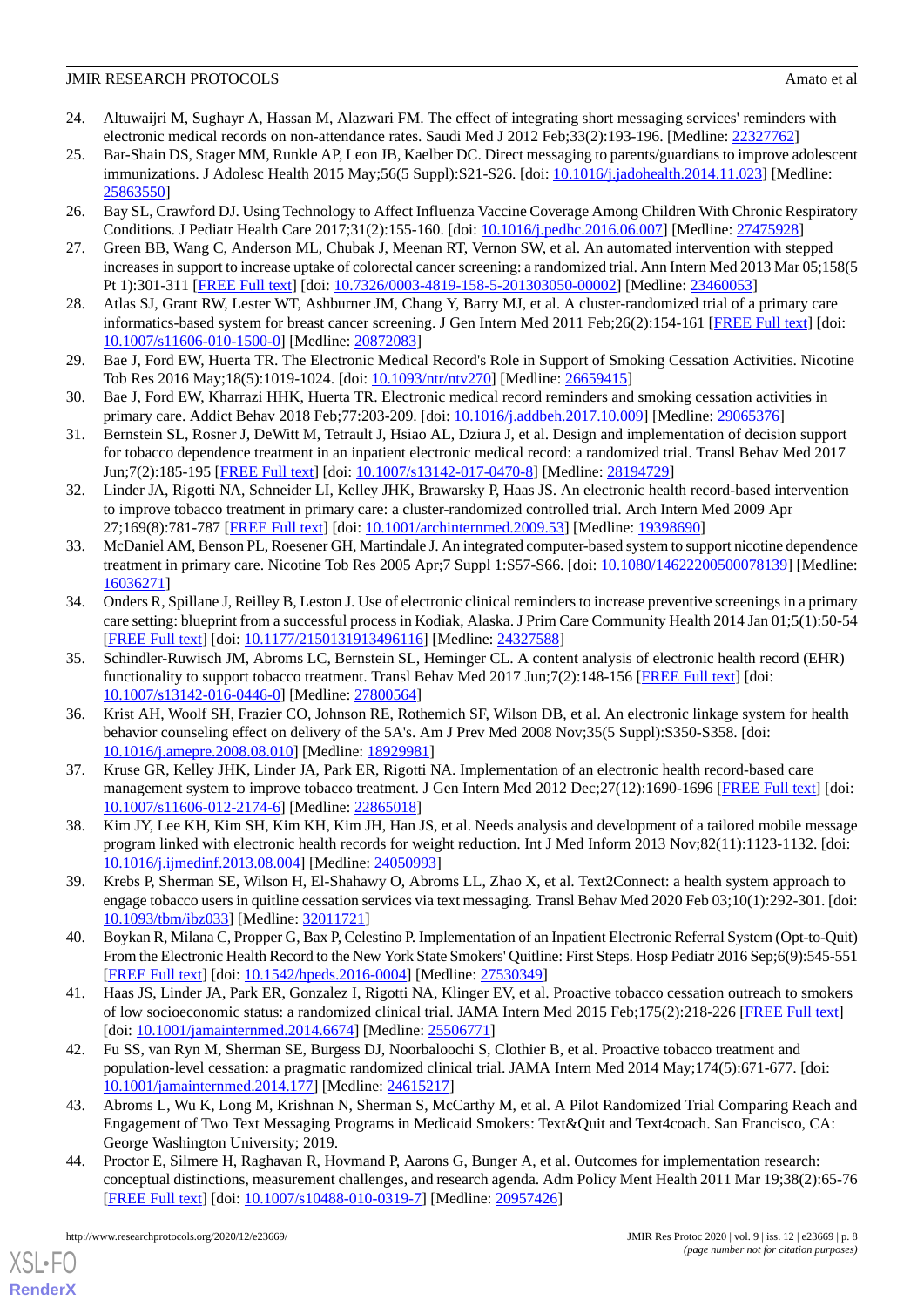- <span id="page-7-0"></span>24. Altuwaijri M, Sughayr A, Hassan M, Alazwari FM. The effect of integrating short messaging services' reminders with electronic medical records on non-attendance rates. Saudi Med J 2012 Feb;33(2):193-196. [Medline: [22327762](http://www.ncbi.nlm.nih.gov/entrez/query.fcgi?cmd=Retrieve&db=PubMed&list_uids=22327762&dopt=Abstract)]
- 25. Bar-Shain DS, Stager MM, Runkle AP, Leon JB, Kaelber DC. Direct messaging to parents/guardians to improve adolescent immunizations. J Adolesc Health 2015 May;56(5 Suppl):S21-S26. [doi: [10.1016/j.jadohealth.2014.11.023](http://dx.doi.org/10.1016/j.jadohealth.2014.11.023)] [Medline: [25863550](http://www.ncbi.nlm.nih.gov/entrez/query.fcgi?cmd=Retrieve&db=PubMed&list_uids=25863550&dopt=Abstract)]
- <span id="page-7-1"></span>26. Bay SL, Crawford DJ. Using Technology to Affect Influenza Vaccine Coverage Among Children With Chronic Respiratory Conditions. J Pediatr Health Care 2017;31(2):155-160. [doi: [10.1016/j.pedhc.2016.06.007](http://dx.doi.org/10.1016/j.pedhc.2016.06.007)] [Medline: [27475928\]](http://www.ncbi.nlm.nih.gov/entrez/query.fcgi?cmd=Retrieve&db=PubMed&list_uids=27475928&dopt=Abstract)
- <span id="page-7-2"></span>27. Green BB, Wang C, Anderson ML, Chubak J, Meenan RT, Vernon SW, et al. An automated intervention with stepped increases in support to increase uptake of colorectal cancer screening: a randomized trial. Ann Intern Med 2013 Mar 05;158(5 Pt 1):301-311 [[FREE Full text](http://europepmc.org/abstract/MED/23460053)] [doi: [10.7326/0003-4819-158-5-201303050-00002](http://dx.doi.org/10.7326/0003-4819-158-5-201303050-00002)] [Medline: [23460053\]](http://www.ncbi.nlm.nih.gov/entrez/query.fcgi?cmd=Retrieve&db=PubMed&list_uids=23460053&dopt=Abstract)
- 28. Atlas SJ, Grant RW, Lester WT, Ashburner JM, Chang Y, Barry MJ, et al. A cluster-randomized trial of a primary care informatics-based system for breast cancer screening. J Gen Intern Med 2011 Feb;26(2):154-161 [\[FREE Full text](http://europepmc.org/abstract/MED/20872083)] [doi: [10.1007/s11606-010-1500-0\]](http://dx.doi.org/10.1007/s11606-010-1500-0) [Medline: [20872083](http://www.ncbi.nlm.nih.gov/entrez/query.fcgi?cmd=Retrieve&db=PubMed&list_uids=20872083&dopt=Abstract)]
- 29. Bae J, Ford EW, Huerta TR. The Electronic Medical Record's Role in Support of Smoking Cessation Activities. Nicotine Tob Res 2016 May;18(5):1019-1024. [doi: [10.1093/ntr/ntv270](http://dx.doi.org/10.1093/ntr/ntv270)] [Medline: [26659415](http://www.ncbi.nlm.nih.gov/entrez/query.fcgi?cmd=Retrieve&db=PubMed&list_uids=26659415&dopt=Abstract)]
- 30. Bae J, Ford EW, Kharrazi HHK, Huerta TR. Electronic medical record reminders and smoking cessation activities in primary care. Addict Behav 2018 Feb;77:203-209. [doi: [10.1016/j.addbeh.2017.10.009\]](http://dx.doi.org/10.1016/j.addbeh.2017.10.009) [Medline: [29065376](http://www.ncbi.nlm.nih.gov/entrez/query.fcgi?cmd=Retrieve&db=PubMed&list_uids=29065376&dopt=Abstract)]
- 31. Bernstein SL, Rosner J, DeWitt M, Tetrault J, Hsiao AL, Dziura J, et al. Design and implementation of decision support for tobacco dependence treatment in an inpatient electronic medical record: a randomized trial. Transl Behav Med 2017 Jun;7(2):185-195 [[FREE Full text](http://europepmc.org/abstract/MED/28194729)] [doi: [10.1007/s13142-017-0470-8\]](http://dx.doi.org/10.1007/s13142-017-0470-8) [Medline: [28194729](http://www.ncbi.nlm.nih.gov/entrez/query.fcgi?cmd=Retrieve&db=PubMed&list_uids=28194729&dopt=Abstract)]
- 32. Linder JA, Rigotti NA, Schneider LI, Kelley JHK, Brawarsky P, Haas JS. An electronic health record-based intervention to improve tobacco treatment in primary care: a cluster-randomized controlled trial. Arch Intern Med 2009 Apr 27;169(8):781-787 [[FREE Full text](http://europepmc.org/abstract/MED/19398690)] [doi: [10.1001/archinternmed.2009.53\]](http://dx.doi.org/10.1001/archinternmed.2009.53) [Medline: [19398690](http://www.ncbi.nlm.nih.gov/entrez/query.fcgi?cmd=Retrieve&db=PubMed&list_uids=19398690&dopt=Abstract)]
- 33. McDaniel AM, Benson PL, Roesener GH, Martindale J. An integrated computer-based system to support nicotine dependence treatment in primary care. Nicotine Tob Res 2005 Apr;7 Suppl 1:S57-S66. [doi: [10.1080/14622200500078139\]](http://dx.doi.org/10.1080/14622200500078139) [Medline: [16036271](http://www.ncbi.nlm.nih.gov/entrez/query.fcgi?cmd=Retrieve&db=PubMed&list_uids=16036271&dopt=Abstract)]
- 34. Onders R, Spillane J, Reilley B, Leston J. Use of electronic clinical reminders to increase preventive screenings in a primary care setting: blueprint from a successful process in Kodiak, Alaska. J Prim Care Community Health 2014 Jan 01;5(1):50-54 [[FREE Full text](https://journals.sagepub.com/doi/10.1177/2150131913496116?url_ver=Z39.88-2003&rfr_id=ori:rid:crossref.org&rfr_dat=cr_pub%3dpubmed)] [doi: [10.1177/2150131913496116\]](http://dx.doi.org/10.1177/2150131913496116) [Medline: [24327588](http://www.ncbi.nlm.nih.gov/entrez/query.fcgi?cmd=Retrieve&db=PubMed&list_uids=24327588&dopt=Abstract)]
- 35. Schindler-Ruwisch JM, Abroms LC, Bernstein SL, Heminger CL. A content analysis of electronic health record (EHR) functionality to support tobacco treatment. Transl Behav Med 2017 Jun;7(2):148-156 [\[FREE Full text\]](http://europepmc.org/abstract/MED/27800564) [doi: [10.1007/s13142-016-0446-0\]](http://dx.doi.org/10.1007/s13142-016-0446-0) [Medline: [27800564](http://www.ncbi.nlm.nih.gov/entrez/query.fcgi?cmd=Retrieve&db=PubMed&list_uids=27800564&dopt=Abstract)]
- 36. Krist AH, Woolf SH, Frazier CO, Johnson RE, Rothemich SF, Wilson DB, et al. An electronic linkage system for health behavior counseling effect on delivery of the 5A's. Am J Prev Med 2008 Nov;35(5 Suppl):S350-S358. [doi: [10.1016/j.amepre.2008.08.010](http://dx.doi.org/10.1016/j.amepre.2008.08.010)] [Medline: [18929981\]](http://www.ncbi.nlm.nih.gov/entrez/query.fcgi?cmd=Retrieve&db=PubMed&list_uids=18929981&dopt=Abstract)
- <span id="page-7-5"></span><span id="page-7-4"></span>37. Kruse GR, Kelley JHK, Linder JA, Park ER, Rigotti NA. Implementation of an electronic health record-based care management system to improve tobacco treatment. J Gen Intern Med 2012 Dec;27(12):1690-1696 [\[FREE Full text\]](http://europepmc.org/abstract/MED/22865018) [doi: [10.1007/s11606-012-2174-6\]](http://dx.doi.org/10.1007/s11606-012-2174-6) [Medline: [22865018](http://www.ncbi.nlm.nih.gov/entrez/query.fcgi?cmd=Retrieve&db=PubMed&list_uids=22865018&dopt=Abstract)]
- <span id="page-7-3"></span>38. Kim JY, Lee KH, Kim SH, Kim KH, Kim JH, Han JS, et al. Needs analysis and development of a tailored mobile message program linked with electronic health records for weight reduction. Int J Med Inform 2013 Nov;82(11):1123-1132. [doi: [10.1016/j.ijmedinf.2013.08.004\]](http://dx.doi.org/10.1016/j.ijmedinf.2013.08.004) [Medline: [24050993](http://www.ncbi.nlm.nih.gov/entrez/query.fcgi?cmd=Retrieve&db=PubMed&list_uids=24050993&dopt=Abstract)]
- <span id="page-7-6"></span>39. Krebs P, Sherman SE, Wilson H, El-Shahawy O, Abroms LL, Zhao X, et al. Text2Connect: a health system approach to engage tobacco users in quitline cessation services via text messaging. Transl Behav Med 2020 Feb 03;10(1):292-301. [doi: [10.1093/tbm/ibz033](http://dx.doi.org/10.1093/tbm/ibz033)] [Medline: [32011721](http://www.ncbi.nlm.nih.gov/entrez/query.fcgi?cmd=Retrieve&db=PubMed&list_uids=32011721&dopt=Abstract)]
- <span id="page-7-7"></span>40. Boykan R, Milana C, Propper G, Bax P, Celestino P. Implementation of an Inpatient Electronic Referral System (Opt-to-Quit) From the Electronic Health Record to the New York State Smokers' Quitline: First Steps. Hosp Pediatr 2016 Sep;6(9):545-551 [[FREE Full text](http://www.hospitalpediatrics.org/cgi/pmidlookup?view=long&pmid=27530349)] [doi: [10.1542/hpeds.2016-0004\]](http://dx.doi.org/10.1542/hpeds.2016-0004) [Medline: [27530349\]](http://www.ncbi.nlm.nih.gov/entrez/query.fcgi?cmd=Retrieve&db=PubMed&list_uids=27530349&dopt=Abstract)
- <span id="page-7-8"></span>41. Haas JS, Linder JA, Park ER, Gonzalez I, Rigotti NA, Klinger EV, et al. Proactive tobacco cessation outreach to smokers of low socioeconomic status: a randomized clinical trial. JAMA Intern Med 2015 Feb;175(2):218-226 [\[FREE Full text](http://europepmc.org/abstract/MED/25506771)] [doi: [10.1001/jamainternmed.2014.6674](http://dx.doi.org/10.1001/jamainternmed.2014.6674)] [Medline: [25506771\]](http://www.ncbi.nlm.nih.gov/entrez/query.fcgi?cmd=Retrieve&db=PubMed&list_uids=25506771&dopt=Abstract)
- <span id="page-7-9"></span>42. Fu SS, van Ryn M, Sherman SE, Burgess DJ, Noorbaloochi S, Clothier B, et al. Proactive tobacco treatment and population-level cessation: a pragmatic randomized clinical trial. JAMA Intern Med 2014 May;174(5):671-677. [doi: [10.1001/jamainternmed.2014.177\]](http://dx.doi.org/10.1001/jamainternmed.2014.177) [Medline: [24615217\]](http://www.ncbi.nlm.nih.gov/entrez/query.fcgi?cmd=Retrieve&db=PubMed&list_uids=24615217&dopt=Abstract)
- 43. Abroms L, Wu K, Long M, Krishnan N, Sherman S, McCarthy M, et al. A Pilot Randomized Trial Comparing Reach and Engagement of Two Text Messaging Programs in Medicaid Smokers: Text&Quit and Text4coach. San Francisco, CA: George Washington University; 2019.
- 44. Proctor E, Silmere H, Raghavan R, Hovmand P, Aarons G, Bunger A, et al. Outcomes for implementation research: conceptual distinctions, measurement challenges, and research agenda. Adm Policy Ment Health 2011 Mar 19;38(2):65-76 [[FREE Full text](http://europepmc.org/abstract/MED/20957426)] [doi: [10.1007/s10488-010-0319-7\]](http://dx.doi.org/10.1007/s10488-010-0319-7) [Medline: [20957426](http://www.ncbi.nlm.nih.gov/entrez/query.fcgi?cmd=Retrieve&db=PubMed&list_uids=20957426&dopt=Abstract)]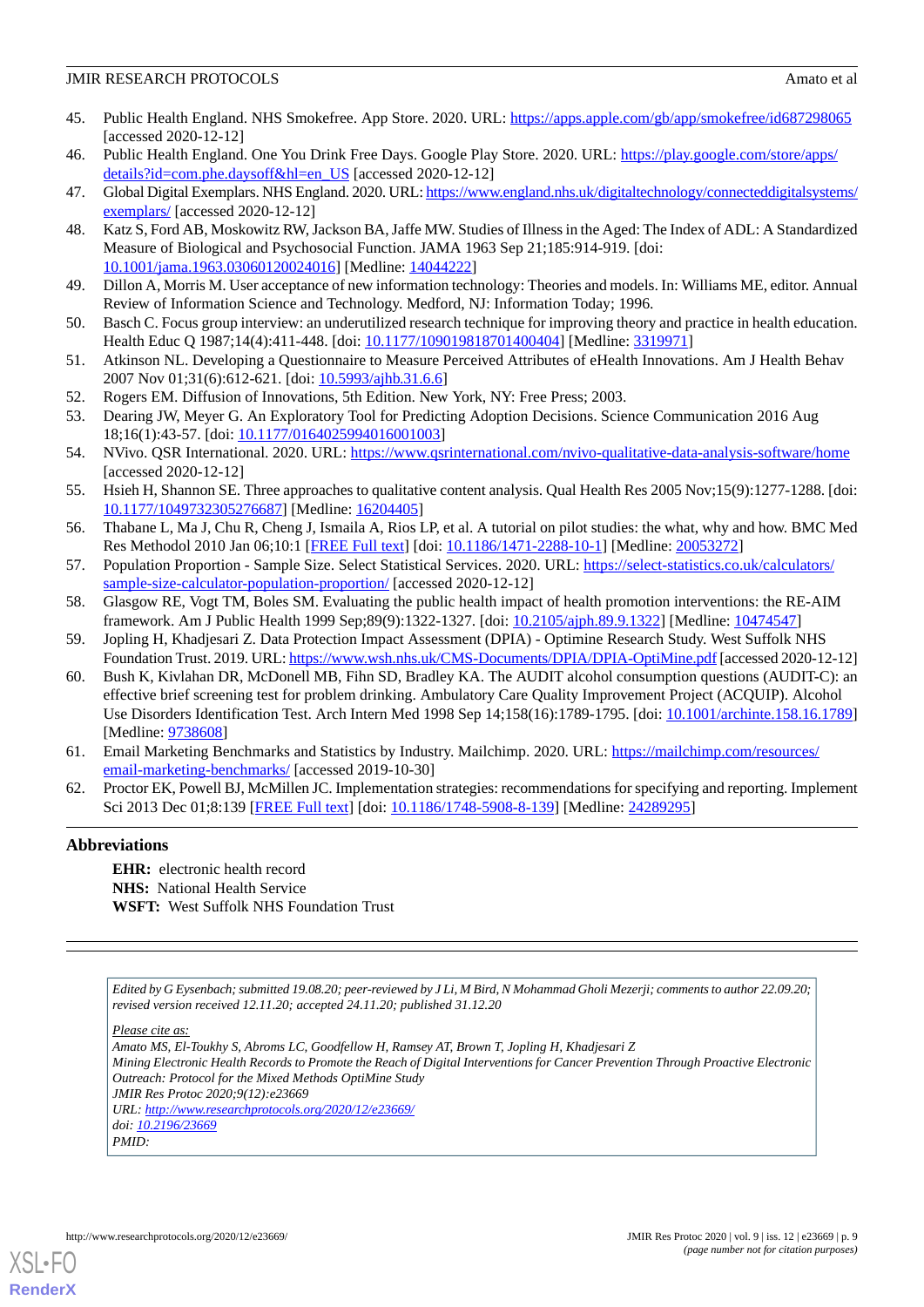- <span id="page-8-0"></span>45. Public Health England. NHS Smokefree. App Store. 2020. URL: <https://apps.apple.com/gb/app/smokefree/id687298065> [accessed 2020-12-12]
- <span id="page-8-2"></span><span id="page-8-1"></span>46. Public Health England. One You Drink Free Days. Google Play Store. 2020. URL: [https://play.google.com/store/apps/](https://play.google.com/store/apps/details?id=com.phe.daysoff&hl=en_US) [details?id=com.phe.daysoff&hl=en\\_US](https://play.google.com/store/apps/details?id=com.phe.daysoff&hl=en_US) [accessed 2020-12-12]
- <span id="page-8-3"></span>47. Global Digital Exemplars. NHS England. 2020. URL: [https://www.england.nhs.uk/digitaltechnology/connecteddigitalsystems/](https://www.england.nhs.uk/digitaltechnology/connecteddigitalsystems/exemplars/) [exemplars/](https://www.england.nhs.uk/digitaltechnology/connecteddigitalsystems/exemplars/) [accessed 2020-12-12]
- <span id="page-8-4"></span>48. Katz S, Ford AB, Moskowitz RW, Jackson BA, Jaffe MW. Studies of Illness in the Aged: The Index of ADL: A Standardized Measure of Biological and Psychosocial Function. JAMA 1963 Sep 21;185:914-919. [doi: [10.1001/jama.1963.03060120024016](http://dx.doi.org/10.1001/jama.1963.03060120024016)] [Medline: [14044222](http://www.ncbi.nlm.nih.gov/entrez/query.fcgi?cmd=Retrieve&db=PubMed&list_uids=14044222&dopt=Abstract)]
- <span id="page-8-5"></span>49. Dillon A, Morris M. User acceptance of new information technology: Theories and models. In: Williams ME, editor. Annual Review of Information Science and Technology. Medford, NJ: Information Today; 1996.
- <span id="page-8-6"></span>50. Basch C. Focus group interview: an underutilized research technique for improving theory and practice in health education. Health Educ Q 1987;14(4):411-448. [doi: [10.1177/109019818701400404\]](http://dx.doi.org/10.1177/109019818701400404) [Medline: [3319971](http://www.ncbi.nlm.nih.gov/entrez/query.fcgi?cmd=Retrieve&db=PubMed&list_uids=3319971&dopt=Abstract)]
- <span id="page-8-8"></span><span id="page-8-7"></span>51. Atkinson NL. Developing a Questionnaire to Measure Perceived Attributes of eHealth Innovations. Am J Health Behav 2007 Nov 01;31(6):612-621. [doi: [10.5993/ajhb.31.6.6](http://dx.doi.org/10.5993/ajhb.31.6.6)]
- 52. Rogers EM. Diffusion of Innovations, 5th Edition. New York, NY: Free Press; 2003.
- <span id="page-8-9"></span>53. Dearing JW, Meyer G. An Exploratory Tool for Predicting Adoption Decisions. Science Communication 2016 Aug 18;16(1):43-57. [doi: [10.1177/0164025994016001003\]](http://dx.doi.org/10.1177/0164025994016001003)
- <span id="page-8-10"></span>54. NVivo. QSR International. 2020. URL:<https://www.qsrinternational.com/nvivo-qualitative-data-analysis-software/home> [accessed 2020-12-12]
- <span id="page-8-11"></span>55. Hsieh H, Shannon SE. Three approaches to qualitative content analysis. Qual Health Res 2005 Nov;15(9):1277-1288. [doi: [10.1177/1049732305276687\]](http://dx.doi.org/10.1177/1049732305276687) [Medline: [16204405\]](http://www.ncbi.nlm.nih.gov/entrez/query.fcgi?cmd=Retrieve&db=PubMed&list_uids=16204405&dopt=Abstract)
- <span id="page-8-13"></span><span id="page-8-12"></span>56. Thabane L, Ma J, Chu R, Cheng J, Ismaila A, Rios LP, et al. A tutorial on pilot studies: the what, why and how. BMC Med Res Methodol 2010 Jan 06;10:1 [\[FREE Full text](https://bmcmedresmethodol.biomedcentral.com/articles/10.1186/1471-2288-10-1)] [doi: [10.1186/1471-2288-10-1](http://dx.doi.org/10.1186/1471-2288-10-1)] [Medline: [20053272\]](http://www.ncbi.nlm.nih.gov/entrez/query.fcgi?cmd=Retrieve&db=PubMed&list_uids=20053272&dopt=Abstract)
- <span id="page-8-14"></span>57. Population Proportion - Sample Size. Select Statistical Services. 2020. URL: [https://select-statistics.co.uk/calculators/](https://select-statistics.co.uk/calculators/sample-size-calculator-population-proportion/) [sample-size-calculator-population-proportion/](https://select-statistics.co.uk/calculators/sample-size-calculator-population-proportion/) [accessed 2020-12-12]
- <span id="page-8-15"></span>58. Glasgow RE, Vogt TM, Boles SM. Evaluating the public health impact of health promotion interventions: the RE-AIM framework. Am J Public Health 1999 Sep;89(9):1322-1327. [doi: [10.2105/ajph.89.9.1322\]](http://dx.doi.org/10.2105/ajph.89.9.1322) [Medline: [10474547](http://www.ncbi.nlm.nih.gov/entrez/query.fcgi?cmd=Retrieve&db=PubMed&list_uids=10474547&dopt=Abstract)]
- 59. Jopling H, Khadjesari Z. Data Protection Impact Assessment (DPIA) Optimine Research Study. West Suffolk NHS Foundation Trust. 2019. URL:<https://www.wsh.nhs.uk/CMS-Documents/DPIA/DPIA-OptiMine.pdf> [accessed 2020-12-12]
- <span id="page-8-17"></span><span id="page-8-16"></span>60. Bush K, Kivlahan DR, McDonell MB, Fihn SD, Bradley KA. The AUDIT alcohol consumption questions (AUDIT-C): an effective brief screening test for problem drinking. Ambulatory Care Quality Improvement Project (ACQUIP). Alcohol Use Disorders Identification Test. Arch Intern Med 1998 Sep 14;158(16):1789-1795. [doi: [10.1001/archinte.158.16.1789](http://dx.doi.org/10.1001/archinte.158.16.1789)] [Medline: [9738608\]](http://www.ncbi.nlm.nih.gov/entrez/query.fcgi?cmd=Retrieve&db=PubMed&list_uids=9738608&dopt=Abstract)
- 61. Email Marketing Benchmarks and Statistics by Industry. Mailchimp. 2020. URL: [https://mailchimp.com/resources/](https://mailchimp.com/resources/email-marketing-benchmarks/) [email-marketing-benchmarks/](https://mailchimp.com/resources/email-marketing-benchmarks/) [accessed 2019-10-30]
- 62. Proctor EK, Powell BJ, McMillen JC. Implementation strategies: recommendations for specifying and reporting. Implement Sci 2013 Dec 01;8:139 [\[FREE Full text\]](https://implementationscience.biomedcentral.com/articles/10.1186/1748-5908-8-139) [doi: [10.1186/1748-5908-8-139](http://dx.doi.org/10.1186/1748-5908-8-139)] [Medline: [24289295\]](http://www.ncbi.nlm.nih.gov/entrez/query.fcgi?cmd=Retrieve&db=PubMed&list_uids=24289295&dopt=Abstract)

# **Abbreviations**

**EHR:** electronic health record **NHS:** National Health Service **WSFT:** West Suffolk NHS Foundation Trust

*Edited by G Eysenbach; submitted 19.08.20; peer-reviewed by J Li, M Bird, N Mohammad Gholi Mezerji; comments to author 22.09.20; revised version received 12.11.20; accepted 24.11.20; published 31.12.20*

*Please cite as:*

*Amato MS, El-Toukhy S, Abroms LC, Goodfellow H, Ramsey AT, Brown T, Jopling H, Khadjesari Z Mining Electronic Health Records to Promote the Reach of Digital Interventions for Cancer Prevention Through Proactive Electronic Outreach: Protocol for the Mixed Methods OptiMine Study JMIR Res Protoc 2020;9(12):e23669 URL: <http://www.researchprotocols.org/2020/12/e23669/> doi: [10.2196/23669](http://dx.doi.org/10.2196/23669) PMID:*